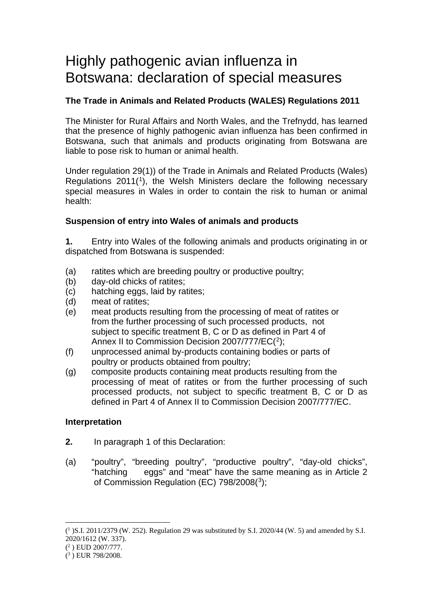# Highly pathogenic avian influenza in Botswana: declaration of special measures

# **The Trade in Animals and Related Products (WALES) Regulations 2011**

The Minister for Rural Affairs and North Wales, and the Trefnydd, has learned that the presence of highly pathogenic avian influenza has been confirmed in Botswana, such that animals and products originating from Botswana are liable to pose risk to human or animal health.

Under regulation 29(1)) of the Trade in Animals and Related Products (Wales) Regulations 2011([1\)](#page-0-0), the Welsh Ministers declare the following necessary special measures in Wales in order to contain the risk to human or animal health:

# **Suspension of entry into Wales of animals and products**

**1.** Entry into Wales of the following animals and products originating in or dispatched from Botswana is suspended:

- (a) ratites which are breeding poultry or productive poultry;
- (b) day-old chicks of ratites;
- (c) hatching eggs, laid by ratites;
- (d) meat of ratites;
- (e) meat products resulting from the processing of meat of ratites or from the further processing of such processed products, not subject to specific treatment B, C or D as defined in Part 4 of Annex II to Commission Decision [2](#page-0-1)007/777/EC(2);
- (f) unprocessed animal by-products containing bodies or parts of poultry or products obtained from poultry;
- (g) composite products containing meat products resulting from the processing of meat of ratites or from the further processing of such processed products, not subject to specific treatment B, C or D as defined in Part 4 of Annex II to Commission Decision 2007/777/EC.

## **Interpretation**

- **2.** In paragraph 1 of this Declaration:
- (a) "poultry", "breeding poultry", "productive poultry", "day-old chicks", "hatching eggs" and "meat" have the same meaning as in Article 2 of Commission Regulation (EC) 798/2008([3\)](#page-0-2):

<span id="page-0-0"></span><sup>(</sup> <sup>1</sup> )S.I. 2011/2379 (W. 252). Regulation 29 was substituted by S.I. 2020/44 (W. 5) and amended by S.I. 2020/1612 (W. 337).

<span id="page-0-1"></span><sup>(</sup> <sup>2</sup> ) EUD 2007/777.

<span id="page-0-2"></span><sup>(</sup> <sup>3</sup> ) EUR 798/2008.